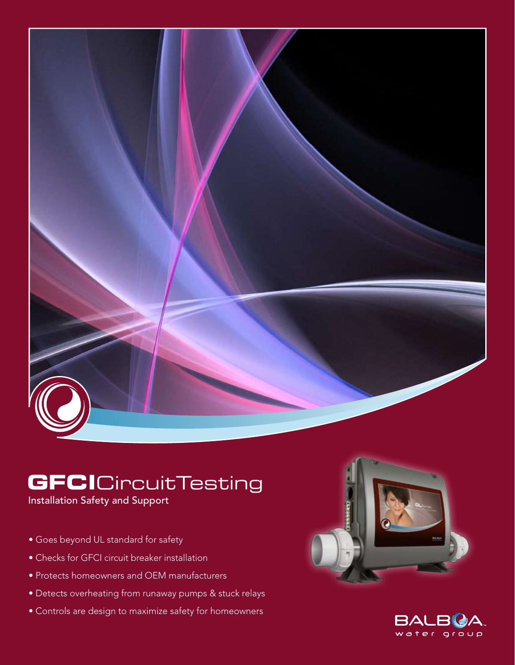

# **GFCI**CircuitTesting

Installation Safety and Support

- Goes beyond UL standard for safety
- Checks for GFCI circuit breaker installation
- Protects homeowners and OEM manufacturers
- Detects overheating from runaway pumps & stuck relays
- Controls are design to maximize safety for homeowners